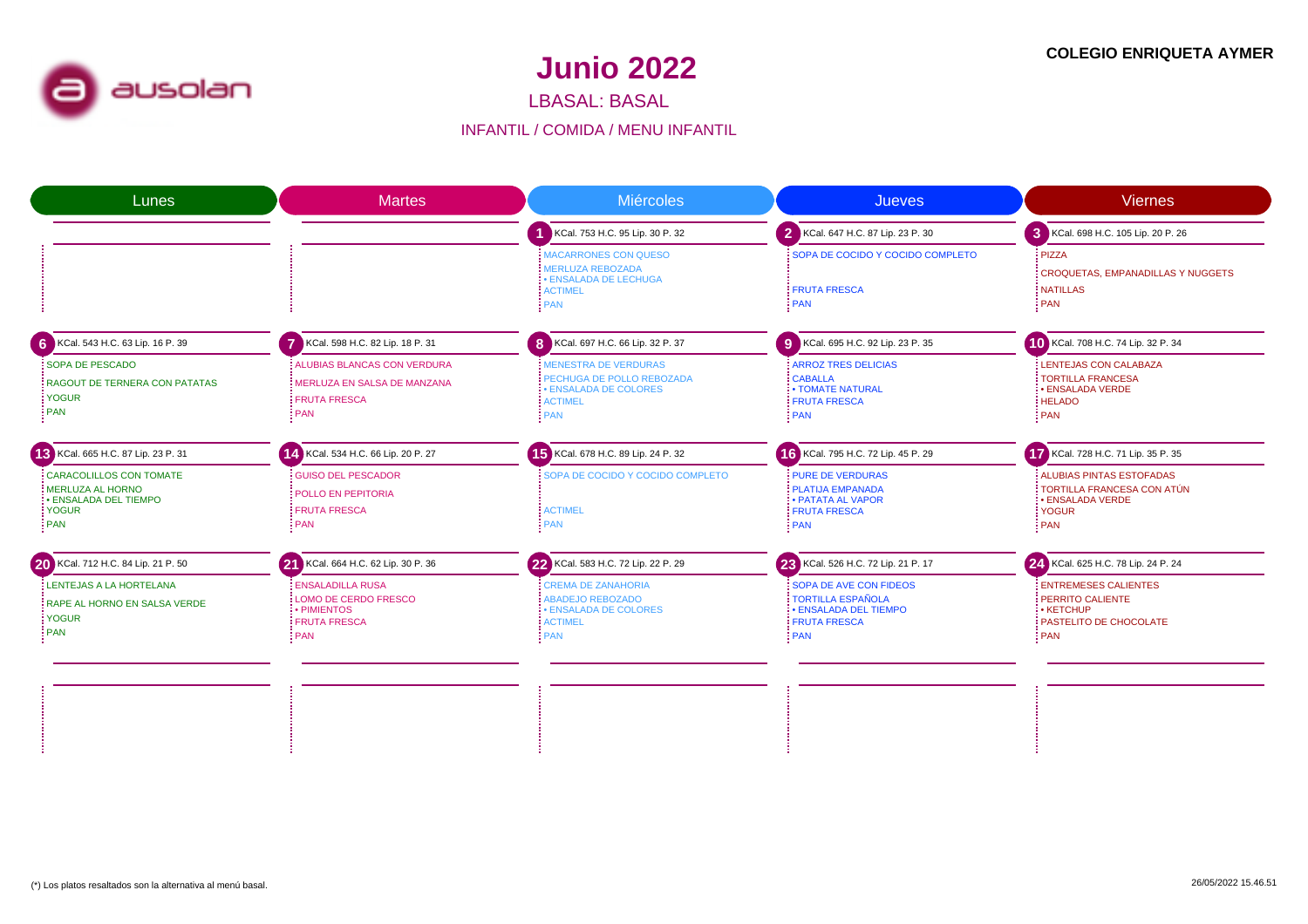

LBASAL: BASAL

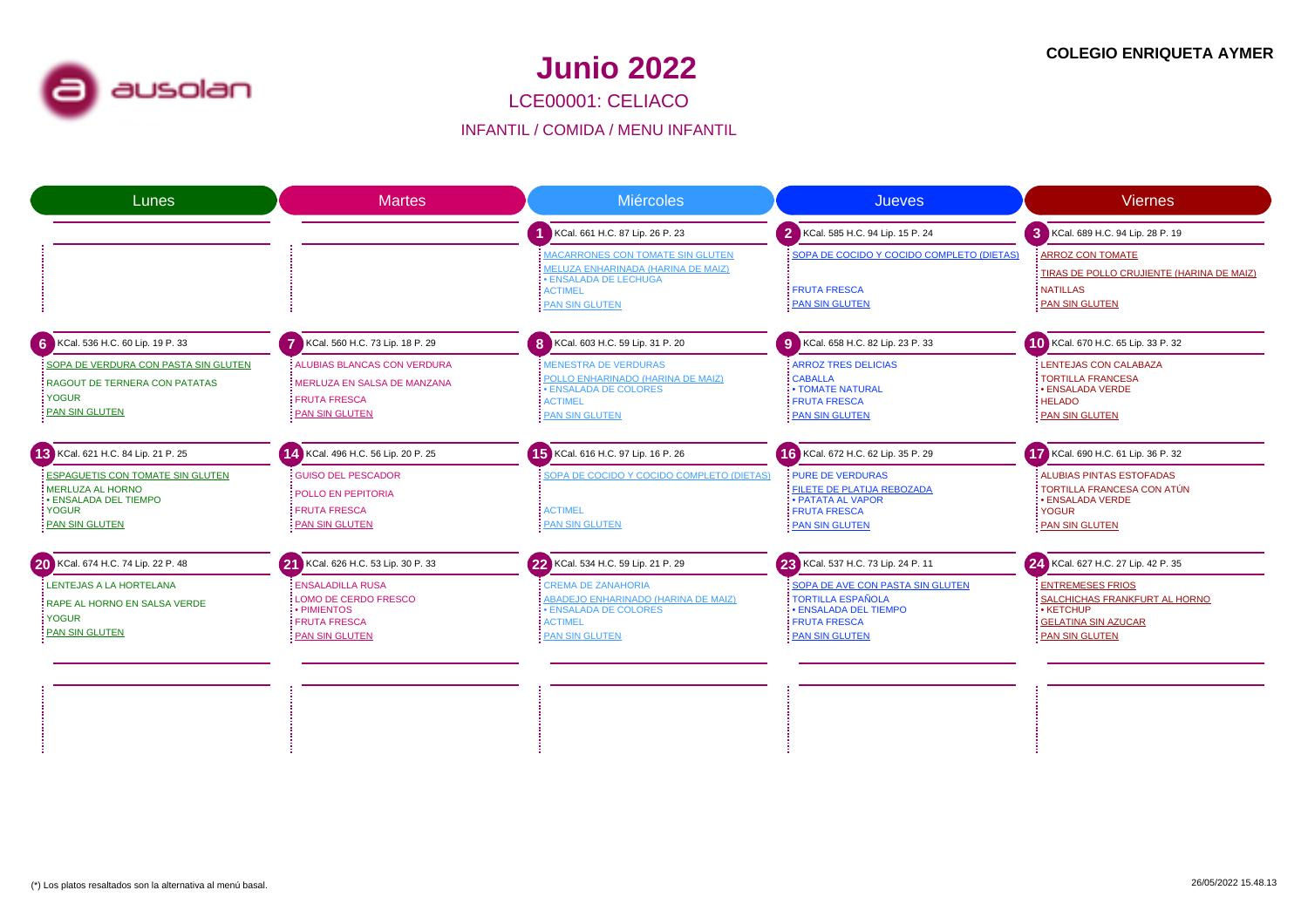

LCE00001: CELIACO

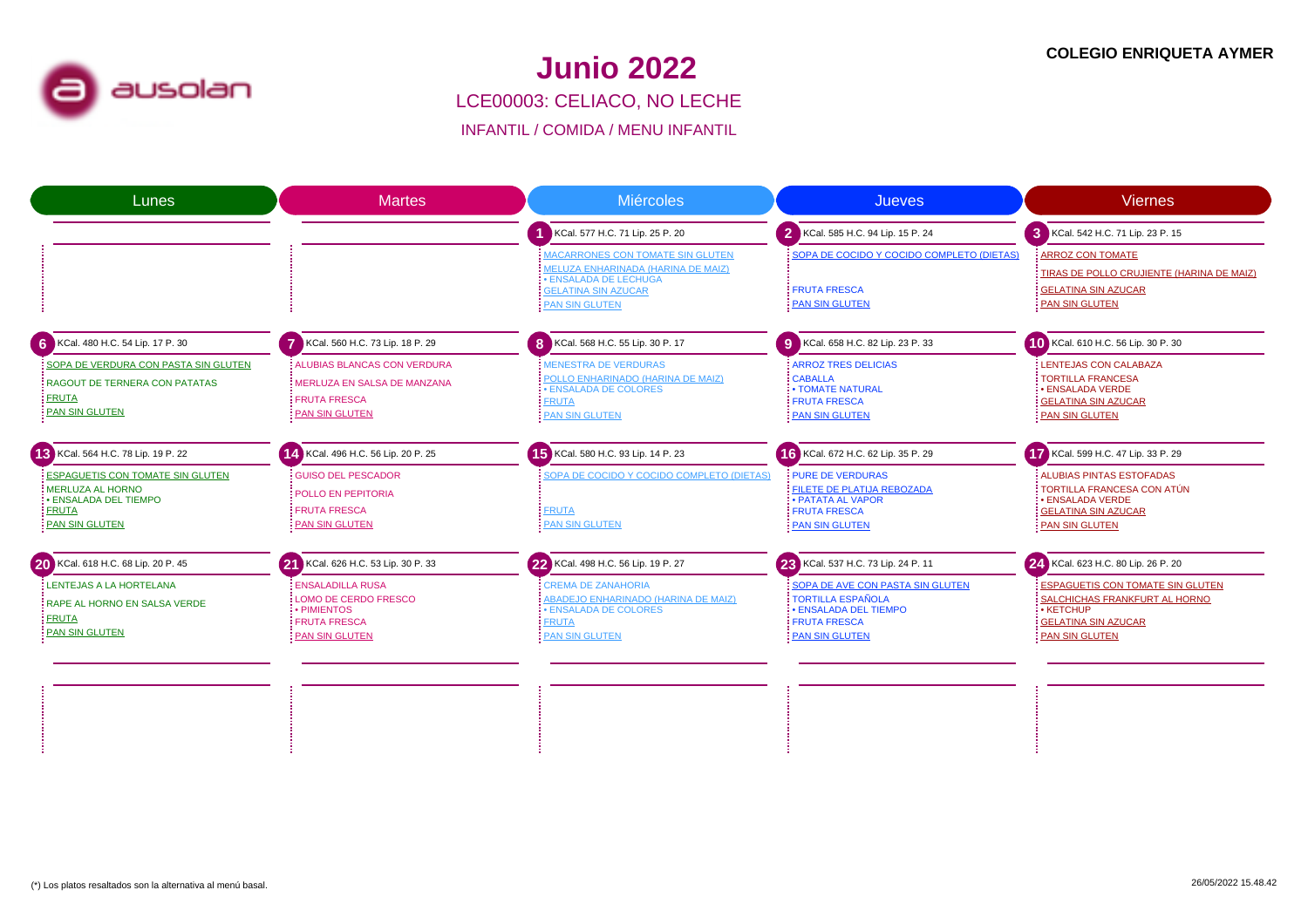

# LCE00003: CELIACO, NO LECHE**Junio 2022**



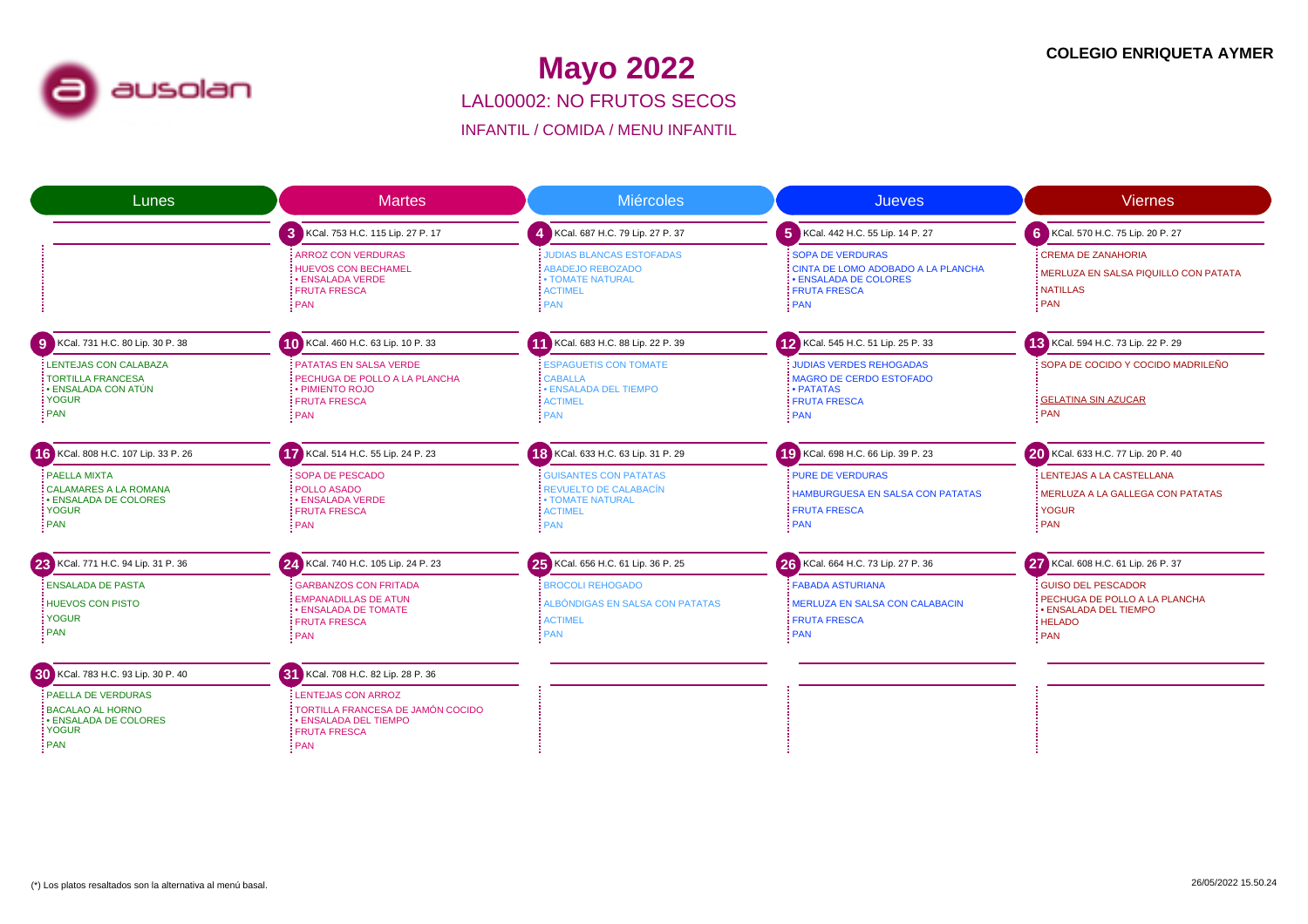

### LAL00002: NO FRUTOS SECOS**Mayo 2022**

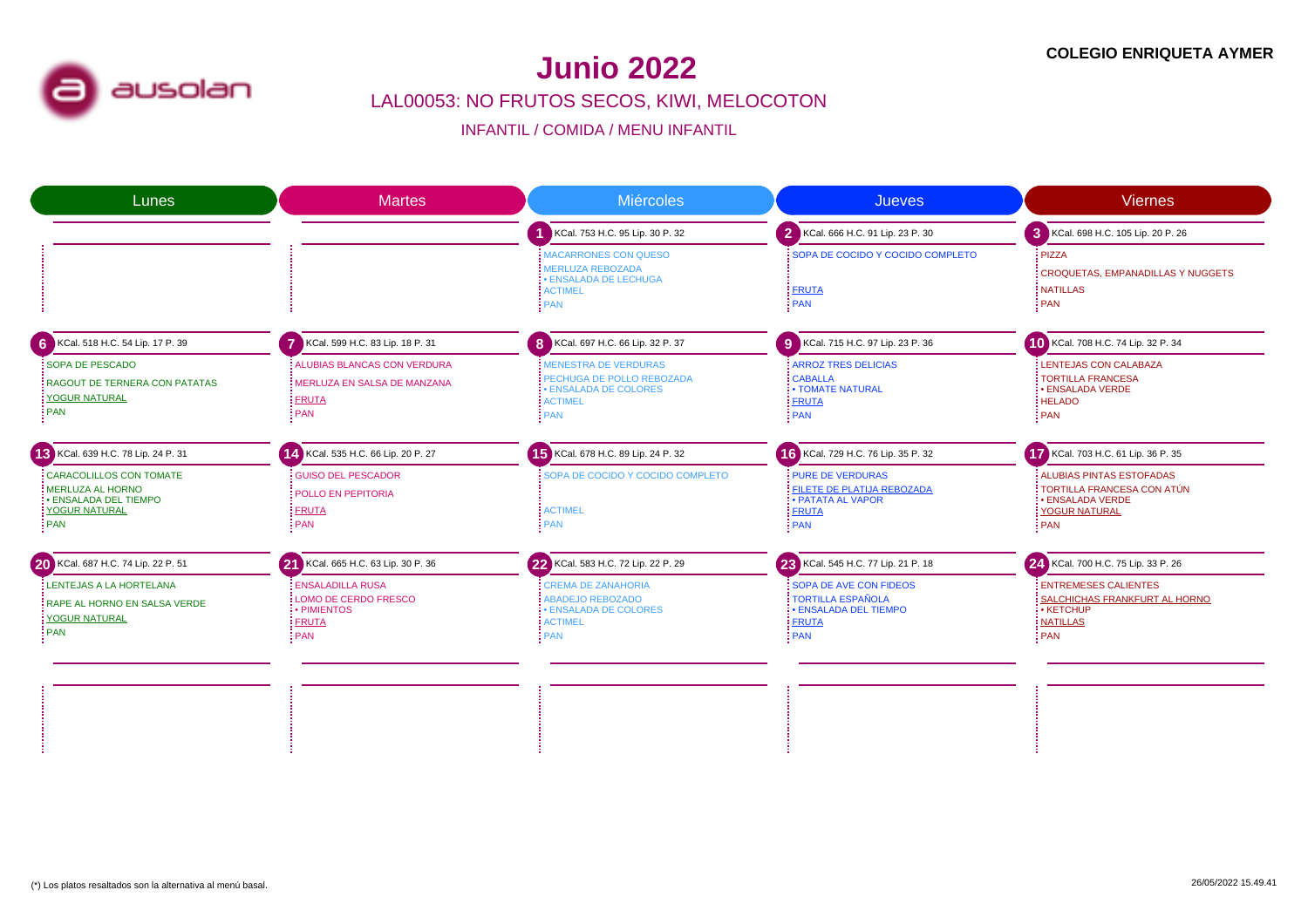

LAL00053: NO FRUTOS SECOS, KIWI, MELOCOTON

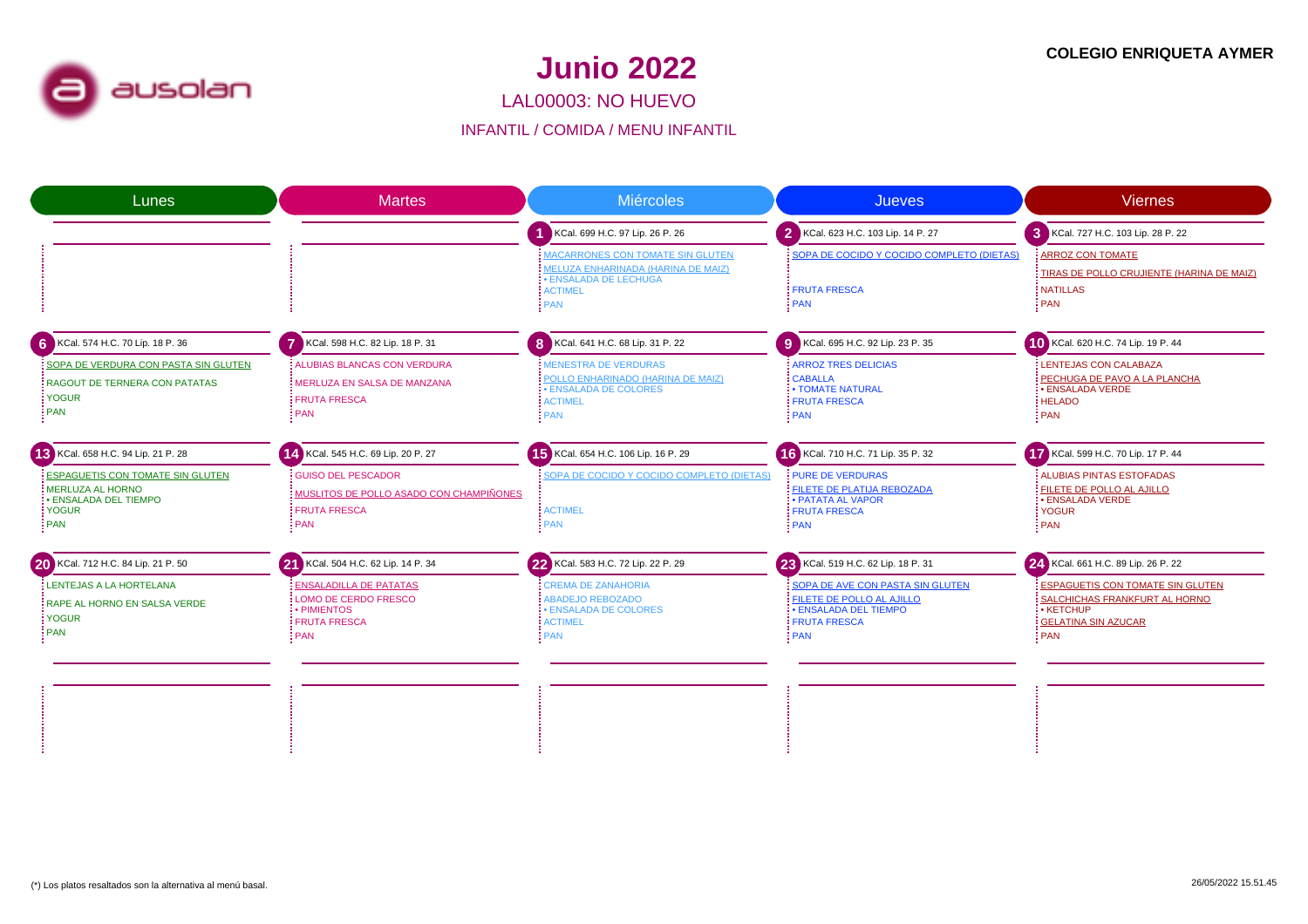

#### LAL00003: NO HUEVO